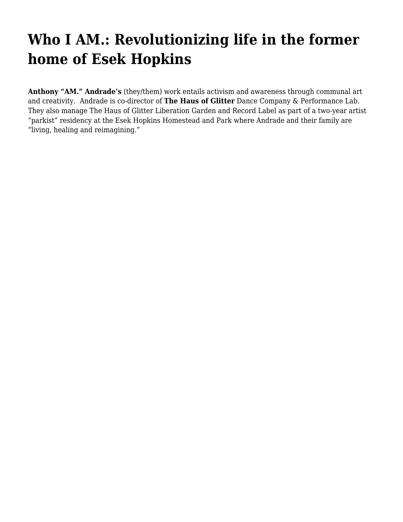## **[Who I AM.: Revolutionizing life in the former](https://motifri.com/who-i-am-revolutionizing-life-in-the-former-home-of-esek-hopkins/) [home of Esek Hopkins](https://motifri.com/who-i-am-revolutionizing-life-in-the-former-home-of-esek-hopkins/)**

**Anthony "AM." Andrade's** (they/them) work entails activism and awareness through communal art and creativity. Andrade is co-director of **The Haus of Glitter** Dance Company & Performance Lab. They also manage The Haus of Glitter Liberation Garden and Record Label as part of a two-year artist "parkist" residency at the Esek Hopkins Homestead and Park where Andrade and their family are "living, healing and reimagining."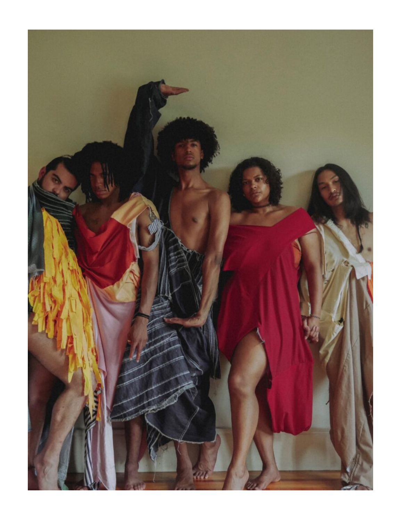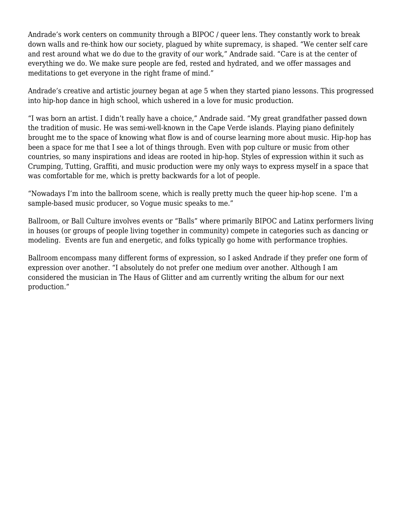Andrade's work centers on community through a BIPOC / queer lens. They constantly work to break down walls and re-think how our society, plagued by white supremacy, is shaped. "We center self care and rest around what we do due to the gravity of our work," Andrade said. "Care is at the center of everything we do. We make sure people are fed, rested and hydrated, and we offer massages and meditations to get everyone in the right frame of mind."

Andrade's creative and artistic journey began at age 5 when they started piano lessons. This progressed into hip-hop dance in high school, which ushered in a love for music production.

"I was born an artist. I didn't really have a choice," Andrade said. "My great grandfather passed down the tradition of music. He was semi-well-known in the Cape Verde islands. Playing piano definitely brought me to the space of knowing what flow is and of course learning more about music. Hip-hop has been a space for me that I see a lot of things through. Even with pop culture or music from other countries, so many inspirations and ideas are rooted in hip-hop. Styles of expression within it such as Crumping, Tutting, Graffiti, and music production were my only ways to express myself in a space that was comfortable for me, which is pretty backwards for a lot of people.

"Nowadays I'm into the ballroom scene, which is really pretty much the queer hip-hop scene. I'm a sample-based music producer, so Vogue music speaks to me."

Ballroom, or Ball Culture involves events or "Balls" where primarily BIPOC and Latinx performers living in houses (or groups of people living together in community) compete in categories such as dancing or modeling. Events are fun and energetic, and folks typically go home with performance trophies.

Ballroom encompass many different forms of expression, so I asked Andrade if they prefer one form of expression over another. "I absolutely do not prefer one medium over another. Although I am considered the musician in The Haus of Glitter and am currently writing the album for our next production."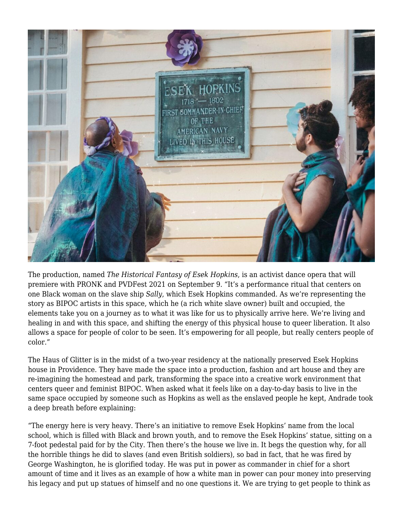

The production, named *The Historical Fantasy of Esek Hopkins*, is an activist dance opera that will premiere with PRONK and PVDFest 2021 on September 9. *"*It's a performance ritual that centers on one Black woman on the slave ship *Sally*, which Esek Hopkins commanded. As we're representing the story as BIPOC artists in this space, which he (a rich white slave owner) built and occupied, the elements take you on a journey as to what it was like for us to physically arrive here. We're living and healing in and with this space, and shifting the energy of this physical house to queer liberation. It also allows a space for people of color to be seen. It's empowering for all people, but really centers people of color."

The Haus of Glitter is in the midst of a two-year residency at the nationally preserved Esek Hopkins house in Providence. They have made the space into a production, fashion and art house and they are re-imagining the homestead and park, transforming the space into a creative work environment that centers queer and feminist BIPOC. When asked what it feels like on a day-to-day basis to live in the same space occupied by someone such as Hopkins as well as the enslaved people he kept, Andrade took a deep breath before explaining:

"The energy here is very heavy. There's an initiative to remove Esek Hopkins' name from the local school, which is filled with Black and brown youth, and to remove the Esek Hopkins' statue, sitting on a 7-foot pedestal paid for by the City. Then there's the house we live in. It begs the question why, for all the horrible things he did to slaves (and even British soldiers), so bad in fact, that he was fired by George Washington, he is glorified today. He was put in power as commander in chief for a short amount of time and it lives as an example of how a white man in power can pour money into preserving his legacy and put up statues of himself and no one questions it. We are trying to get people to think as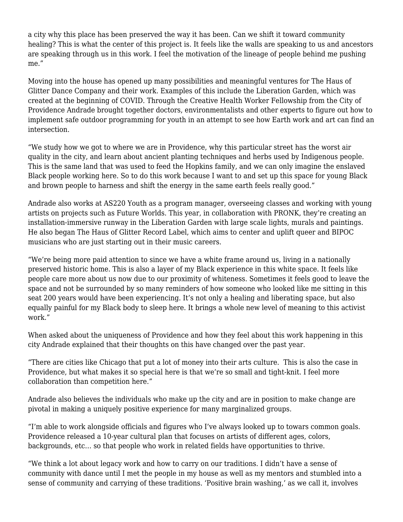a city why this place has been preserved the way it has been. Can we shift it toward community healing? This is what the center of this project is. It feels like the walls are speaking to us and ancestors are speaking through us in this work. I feel the motivation of the lineage of people behind me pushing me."

Moving into the house has opened up many possibilities and meaningful ventures for The Haus of Glitter Dance Company and their work. Examples of this include the Liberation Garden, which was created at the beginning of COVID. Through the Creative Health Worker Fellowship from the City of Providence Andrade brought together doctors, environmentalists and other experts to figure out how to implement safe outdoor programming for youth in an attempt to see how Earth work and art can find an intersection.

"We study how we got to where we are in Providence, why this particular street has the worst air quality in the city, and learn about ancient planting techniques and herbs used by Indigenous people. This is the same land that was used to feed the Hopkins family, and we can only imagine the enslaved Black people working here. So to do this work because I want to and set up this space for young Black and brown people to harness and shift the energy in the same earth feels really good."

Andrade also works at AS220 Youth as a program manager, overseeing classes and working with young artists on projects such as Future Worlds. This year, in collaboration with PRONK, they're creating an installation-immersive runway in the Liberation Garden with large scale lights, murals and paintings. He also began The Haus of Glitter Record Label, which aims to center and uplift queer and BIPOC musicians who are just starting out in their music careers.

"We're being more paid attention to since we have a white frame around us, living in a nationally preserved historic home. This is also a layer of my Black experience in this white space. It feels like people care more about us now due to our proximity of whiteness. Sometimes it feels good to leave the space and not be surrounded by so many reminders of how someone who looked like me sitting in this seat 200 years would have been experiencing. It's not only a healing and liberating space, but also equally painful for my Black body to sleep here. It brings a whole new level of meaning to this activist work."

When asked about the uniqueness of Providence and how they feel about this work happening in this city Andrade explained that their thoughts on this have changed over the past year.

"There are cities like Chicago that put a lot of money into their arts culture. This is also the case in Providence, but what makes it so special here is that we're so small and tight-knit. I feel more collaboration than competition here."

Andrade also believes the individuals who make up the city and are in position to make change are pivotal in making a uniquely positive experience for many marginalized groups.

"I'm able to work alongside officials and figures who I've always looked up to towars common goals. Providence released a 10-year cultural plan that focuses on artists of different ages, colors, backgrounds, etc… so that people who work in related fields have opportunities to thrive.

"We think a lot about legacy work and how to carry on our traditions. I didn't have a sense of community with dance until I met the people in my house as well as my mentors and stumbled into a sense of community and carrying of these traditions. 'Positive brain washing,' as we call it, involves